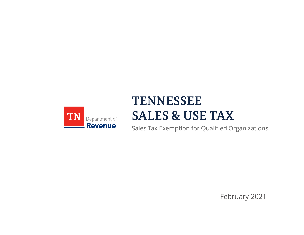

# **TENNESSEE SALES & USE TAX**

Sales Tax Exemption for Qualified Organizations

February 2021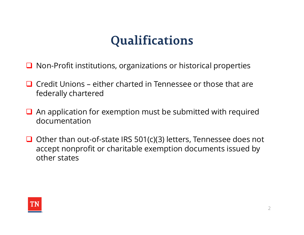- $\Box$  Non-Profit institutions, organizations or historical properties
- **Qualifications**<br> **Qualifications**<br> **Q** Non-Profit institutions, organizations or historical properties<br> **Q** Credit Unions either charted in Tennessee or those that are<br> **Q** An application for exemption must be submitted federally chartered
- $\Box$  An application for exemption must be submitted with required documentation
- $\Box$  Other than out-of-state IRS 501(c)(3) letters, Tennessee does not accept nonprofit or charitable exemption documents issued by other states

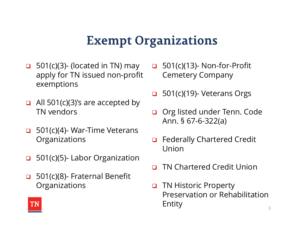- **Exempt Organizati**<br>**Exempt Organizati**<br>**apply for TN issued non-profit** Cemetery<br>exemptions apply for TN issued non-profit exemptions **Exempt Organizati**<br> **a** 501(c)(3)- (located in TN) may **a** 501(c)(13)<br>
apply for TN issued non-profit Cemetery<br>
exemptions<br> **a** 501(c)(3)'s are accepted by<br> **a** 501(c)(4)- War-Time Veterans<br> **a** 501(c)(4)- War-Time Veter **a** 501(c)(3)- (located in TN) may **a** 501(c)(13)- No<br>apply for TN issued non-profit Cemetery Con<br>exemptions<br>**a** 501(c)(3)'s are accepted by<br>**b** 501(c)(4)- War-Time Veterans<br>**a** 501(c)(4)- War-Time Veterans<br>**b** 501(c)(5)-
- $\Box$  All 501(c)(3)'s are accepted by TN vendors **EXECUTE 10:501(c)(3)'s are accepted by**<br> **Computed COMPOS**<br> **Computed COMPOS**<br> **Computed**<br> **Computed**<br> **Computed**<br> **Computed**<br> **Computed**<br> **Computed**<br> **Computed**<br> **Computed**<br> **Computed**<br> **Computed**<br> **Computed**<br> **Comp**
- **Organizations**
- 
- **Organizations**
- **ganizations**<br>□ 501(c)(13)- Non-for-Profit<br>Cemetery Company<br>□ 501(c)(19)- Veterans Orgs Cemetery Company **ganizations**<br>□ 501(c)(13)- Non-for-Profit<br>Cemetery Company<br>□ 501(c)(19)- Veterans Orgs<br>□ Org listed under Tenn. Code<br>Ann. § 67-6-322(a)
- 
- □ Org listed under Tenn. Code **nizations**<br>501(c)(13)- Non-for-Profit<br>Cemetery Company<br>501(c)(19)- Veterans Orgs<br>Org listed under Tenn. Code<br>Ann. § 67-6-322(a)<br>Federally Chartered Credit
- □ Federally Chartered Credit Union
- TN Chartered Credit Union
- TN Historic Property Preservation or Rehabilitation Entity

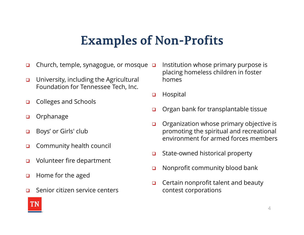### **Examples of Non-Profits**

- Church, temple, synagogue, or mosque  $\Box$
- **u** University, including the Agricultural Foundation for Tennessee Tech, Inc.
- □ Colleges and Schools
- orphanage
- Boys' or Girls' club
- **O** Community health council
- Volunteer fire department
- $\Box$  Home for the aged
- □ Senior citizen service centers
- Institution whose primary purpose is placing homeless children in foster homes
- **u** Hospital
- **Organ bank for transplantable tissue**
- Organization whose primary objective is promoting the spiritual and recreational environment for armed forces members
- $\Box$  State-owned historical property
- **Nonprofit community blood bank**
- **Q** Certain nonprofit talent and beauty contest corporations

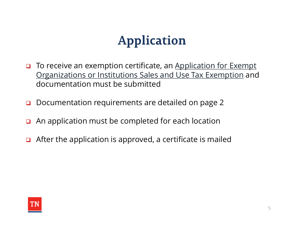# **Application**

- □ To receive an exemption certificate, an Application for Exempt Organizations or Institutions Sales and Use Tax Exemption and documentation must be submitted
- □ Documentation requirements are detailed on page 2
- $\Box$  An application must be completed for each location
- $\Box$  After the application is approved, a certificate is mailed

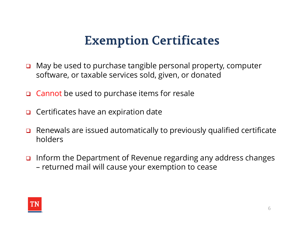## **Exemption Certificates**

- $\Box$  May be used to purchase tangible personal property, computer software, or taxable services sold, given, or donated
- Cannot be used to purchase items for resale
- $\Box$  Certificates have an expiration date
- **□** Renewals are issued automatically to previously qualified certificate holders
- $\Box$  Inform the Department of Revenue regarding any address changes software, or taxable services sold, given, or donate<br>Cannot be used to purchase items for resale<br>Certificates have an expiration date<br>Renewals are issued automatically to previously qu<br>holders<br>Inform the Department of Reve

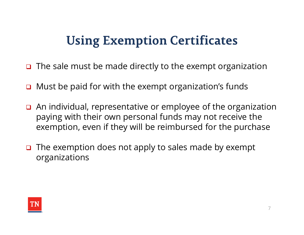# **Using Exemption Certificates**

- $\Box$  The sale must be made directly to the exempt organization
- **D** Must be paid for with the exempt organization's funds
- $\Box$  An individual, representative or employee of the organization paying with their own personal funds may not receive the exemption, even if they will be reimbursed for the purchase
- $\Box$  The exemption does not apply to sales made by exempt organizations

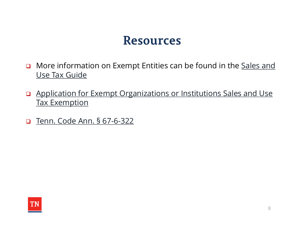- **D** More information on Exempt Entities can be found in the **Sales and** Use Tax Guide **Resources**<br> **Complementary Summann Starf Condensity Condensity**<br> **Complementary Condensity Condensity Condensity Condensity Condensity Condensity Condensity Condensity Condensity Condensity Condensity Condensity Condensit**
- Application for Exempt Organizations or Institutions Sales and Use Tax Exemption
-